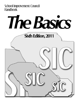School Improvement Council **Handbook** 

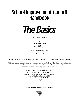# **School Improvement Council Handbook**



Sixth Edition, July 2011

**By Cassie Barber, M.A. and Tom F. Hudson**

*Based Upon and Derived From A Previous Work by Jean M. Norman, Ed.D*

Published by the SC School Improvement Council, University of South Carolina College of Education

All information in this publication may be reproduced for use by local School Improvement Councils, school and district personnel, and citizens interested in school improvement. Any other use requires written permission from SC-SIC.

> South Carolina School Improvement Council *"Civic Engagement in Public Education"* University of South Carolina College of Education Columbia, South Carolina 29208 803-777-7658 or 800-868-2232 *sic.sc.gov*

*Artwork, layout and design by Claudia P. Wolverton*

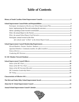## **Table of Contents**

| Participate: annual revision of the Plan        |  |
|-------------------------------------------------|--|
|                                                 |  |
|                                                 |  |
|                                                 |  |
|                                                 |  |
|                                                 |  |
|                                                 |  |
|                                                 |  |
|                                                 |  |
|                                                 |  |
|                                                 |  |
|                                                 |  |
|                                                 |  |
|                                                 |  |
| <b>Characteristics of Effective SICs</b><br>.12 |  |
|                                                 |  |
|                                                 |  |
|                                                 |  |

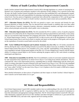### **History of South Carolina School Improvement Councils**

South Carolina initiated School Improvement Councils (SICs) through legislation as a means of assuring the influential voice of parents and community members in the education of their children. Over a period of more than 30 years, the South Carolina General Assembly has enacted laws that established SICs and subsequently expanded and extended their roles and responsibilities for planning, monitoring and evaluating improvement at the local school level. Four key pieces of legislation in particular have affected the composition of SICs and the growing importance and influence of Councils in South Carolina's education improvement and accountability efforts.

**1977 – Education Finance Act (EFA).** The EFA was passed to create a new structure and formula for state financed education in South Carolina. This Act directed local school boards to establish what were then called "School Advisory Councils" composed of parents, educators, community members, and high school students to advise school principals and provide a direct public voice in education.

**1984 – Education Improvement Act (EIA).** The EIA amended the EFA to outline a series of specific programs and actions to be achieved by the SC Department of Education and local school districts and schools. A new penny sales tax was enacted to help fund these new programs and actions. The EFA changed the name of local Councils to "School Improvement Councils." It empowered SICs to take an active role in the development of a three-year School Improvement Plan in each local school; to monitor and report on the progress of Plan goals; and to advise on the expenditure of incentive award funds received by the school.

**1993 – Early Childhood Development and Academic Assistance Act (Act 135).** Act 135 further amended the EFA by altering the state's school funding formula to account for the affects of poverty on children. The three-year School Improvement Plan process was extended to five years, and SIC responsibilities in the planning process were expanded to include writing annual updates of the Plan. Act 135 also charged local Councils with the responsibility of writing an annual *Report to the Parents* outlining the progress made by SICs and schools in meeting stated goals and objectives.

**1998 – Education Accountability Act (EAA).** The EAA established a system of curriculum standards (measured by state assessment tests) reported by an annual *School Report Card* rating local schools and districts. This Act continued SIC roles in the improvement process, expanding them to include collaborating with the school principals in writing a descriptive narrative featured in the state-issued *School Report Card*. The EAA also mandated the inclusion of SICs in the annual revision of the School Improvement Plan of those schools rated as "Unsatisfactory" (now called "At Risk") on the state *School Report Card*. (Updates to the EAA made in 2008 had no impact on the statutory roles of SICs.)

More detailed information on these pieces of legislation and their impact on South Carolina's School Improvement Councils can be found online at *sic.sc.gov*.



### **SIC Roles and Responsibilities**

Each School Improvement Council (SIC) member needs to have an understanding of the role of the SIC and the specific responsibilities the SIC is required to fulfill by state law. New members need a period of orientation to learn this information and appropriate training to help them. The SC School Improvement Council (SC-SIC) provides information, materials and services to SIC members and others through its website (*sic.sc.gov*) and toll-free hotline (1-800-868-2232), and state-wide, regional and local training sessions.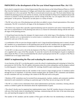#### **PARTICIPATE in the development of the five-year School Improvement Plan. (Act 135**)

Each school is required to have a School Improvement Plan (also known as the School Renewal Plan) or a SACS Plan from the Southern Association of Colleges and Schools that contains strategies or goals to improve student achievement over a five-year period. This Plan is reviewed and revised every year. The local school district may establish the planning process to be used by its schools, create the timetable for Plans to be completed and provide resources to schools to aid the planning process and the writing of the Plan. Act 135 requires SICs to be "active participants" in this process. The process can take place in a variety of forms:

• The SIC acts as the core of the planning team and others are added to ensure a broad representation of the school community. The SIC is involved in all stages of the development of the Plan.

• The district may require that a specially organized planning team be named for each school. Selected SIC members serve as representatives on the planning team and act as a liaison for information sharing with the full SIC in all stages of the planning process.

• A broad-based team develops the strategies for improvement as the initial stage of the planning. In this design, the SIC members serve as representatives on action teams or committees to plan the specific steps to be accomplished for each year of the five years.

• A combination of the two previous designs might be used. A large broad-based planning team is named, selected SIC members act as representatives on the planning team and all of the SIC members have an opportunity to participate on one of the action teams or committees to develop specific actions to implement the Plan.

• As the SIC is to take an active role in the development of the Plan, it is important that each member of the Council is supplied with a copy of the Plan annually. To assist the Council in the development of goals to implement and evaluate the Plan, it is also recommended that the school's principal provide the SIC a synopsis of the Plan in a bulleted one to two-page outline form.

#### **ASSIST in implementing the Plan and evaluating the outcomes. (Act 135)**

A core function of the SIC is to develop goals to assist the school in implementing and evaluating its School Improvement (or SACS) Plan. The SIC gathers information about the actions taking place and the progress realized in achieving goals. A major portion of monthly SIC meetings should be spent reporting such information.

The Plan can be monitored solely by SIC members if the Council is large enough (at least 15 members) and/or through the use of committees. As the Plan contains multiple goals, the number of SIC committees and members on each committee will vary according to the content of the Plan and work on the goals.

• Members of SIC committees may be recruited from among parents, teachers, students, and community members interested in and committed to working on a particular goal of the Plan, but not serving on the SIC itself.

• The SIC as a whole reviews information from school administration and faculty committees, forming subcommittees as needed to gather the information about the implementation of goals.

• The school's faculty may be organized into implementation teams. Each SIC member chooses to become active with one of the faculty teams by attending their meetings, communicating with the chair of the team about progress, and reporting the progress to the whole SIC.

The number of SIC members and the number of Plan goals will affect how the membership is divided up to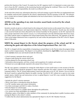perform this function of the Council. No matter how the SIC organizes itself, it is important to create some structure to focus the SIC's attention on the monitoring function and sharing the workload. When every SIC member has an assigned job and responsibility, the result is an effective SIC.

At the end of the school year, information about how well each strategy or goal of the Plan was implemented must be compiled, analyzed and evaluated by the school's administration with the assistance of the SIC. The information is written into an Annual Update and submitted to the local school district. Each district sets its own deadline for this Update.

#### **ADVISE on the spending of any state incentive award funds received by the school. (EIA, Act 135, EAA)**

Incentive awards are given to schools based on the rating each school receives on the annual *School Report Card*, along with other performance and improvement objectives. Palmetto Gold and Silver Awards may also include a cash award (if funds have been allocated by the General Assembly for this purpose). As the SIC represents the many groups interested in the school's success, it is well positioned to provide informed input about how incentive funds could be spent to implement the School Improvement Plan more effectively. The signature of the SIC Chair on the budget submission form is required by law and verifies the participation of the SIC to the SC Department of Education.

#### **WRITE the annual** *Report to the Parents* **about the progress of the school and SIC in achieving the goals and objectives of the School Improvement Plan. (Act 135)**

The SIC is charged with the responsibility of preparing an annual *Report to the Parents* about the progress being made to achieve improvements. This *Report* is to be publicly distributed by **April 30th** of each year, must focus on the **current** school year and should include the following:

- A brief summary statement about each goal.
- Progress made during the current school year.
- Actions planned for the upcoming school year.
- Information about programs, activities, awards, and recognitions for students and teachers.
- Pertinent test scores **not** already reported in the annual *School Report Card*.

The SIC may appoint a committee for writing the whole *Report* or form small teams to write sections of the *Report*. The final product should be designed to attract attention and draw the reader's interest to the information contained within it. The SC School Improvement Council provides space on its *SC-SIC Member Network* site for the local Councils to upload their *Reports* for public viewing. Visit the SC-SIC website (*sic.sc.gov*) to view some sample reports, helpful tips and instructions on how to upload *Reports*. Local SICs may consider the following suggestions for the *Report*:

- Include the school's mission statement.
- Write a brief letter or introduction about the *Report*.
- List SIC member names and contact information.
- Use letter-sized paper and fold it to make a brochure.
- Print the *Report* on colored paper.
- Use the school mascot as a graphic theme throughout the publication.
- Use various size fonts and graphics for emphasis.

• Distribute copies of the *Report* to other members of the community by placing them in public locations and/or posting the *Report* to the school's website.

• Confirm that the school administration has uploaded the *Report* to the SC-SIC Member Network.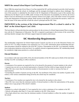#### **WRITE the annual** *School Report Card* **Narrative. (EAA)**

Since 1998, the annual state *School Report Card* has required the SIC and the principal to provide a brief narrative with information about the school, its challenges and the strategies developed to address those challenges. The text of this narrative is submitted by the school to the SC Department of Education as part of the summer data collection for the *Report Card*. In 2008, under revisions of the Education Accountability Act (EAA), the *School Report Card* was shortened to an executive summary format of two pages, with a full online version to be posted to the state Department of Education website. Both versions of the *Report Card* include the narrative, which is to bear the name of the name and title of both the school's principal and the SIC Chair.

#### **PARTICIPATE in the revision of the School Improvement Plan if a school is rated as "At Risk" on the** *School Report Card***. (EAA)**

The local district will provide direction and procedures for the revision of a School Improvement Plan in conjunction with the SC Department of Education. The SIC is required to participate in the revision of the current Plan and help identify strategies that will better support improved student achievement.

### **SIC Membership Requirements**

The membership composition for School Improvement Councils was first set out in the Education Finance Act (EFA) of 1977. Ex-officio members were required by Act 135 in 1993. Information about membership and elections procedures should be outlined in the local SIC's bylaws. Participation on the SIC is an important contribution to education initiatives at the local level. As a publicly elected or appointed position, SIC membership should be considered a high-status position in a school and district.

#### **Elected Members**

In accordance with state statute (EFA, EIA), the elected members of the SIC make up two-thirds of the total membership of an SIC (excluding ex-officio members).

#### *Parents*

- A minimum of two parents are required by law to be elected by the parents of current students in the school.
- A parent may not serve as an elected representative of parents if his/her child no longer attends the school.
- Most SICs have more than the minimum number of elected parents in order to increase the base of representation.

• In deciding the number of parents serving on the SIC, the enrollment of the school, the number of grades in the school, or the various communities being served by the school may be considered.

#### *Teachers*

- A minimum of two teachers are required by law to be elected by the teachers in the school.
- Most SICs have more than the minimum number of elected teachers to reflect the representation of the grades, subject area or age groups of the school's students.

#### *Students*

- Students in a school with grades 9-12 are required by law to elect a minimum of two students to the SIC.
- Schools with grades other than 9-12 may elect students to the SIC if they desire.

• Most high schools have more than the minimum number of elected students to reflect the number of grades in the school.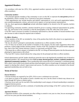#### **Appointed Members**

• In accordance with state law (EFA, EIA), appointed members represent one-third of the SIC (excluding exofficio members).

#### *Community members*

• The principal appoints members of the community to serve on the SIC to represent the **non-parent** portion of the population, which is usually 70 to 75 percent of any given community.

• These appointments may include business and industry representatives, civic and social organization leaders, non-custodial grandparents, retirees, and social service agency or local government representatives.

• By law, these appointments **should not** include individuals eligible to be elected to the SIC (parents, teachers or students).

• In appointing community members, attention should be given to creating a balanced representation by gender, race, age, and location in the community so that the demographics of the SIC reflect that of the school.

• If an SIC wants to increase its number of community representatives, then the number of elected members must also increase in order to keep the required ratio in balance.

#### *Ex-Officio Members*

• These members of the SIC are included by virtue of the position they hold in the school or an organization associated with the school.

• By law, the school's principal is automatically considered an ex-officio member of the SIC.

• Act 135 does not set limits on the number of members in this category, but does make suggestions about what positions a school might include: business partner, Teacher of the Year, president of the parent-teacher organization, chair of the Title I Parent Advisory Council, or a previously serving SIC Chair.

• The reason the ex-officio category is included on the SIC is to bring all interested parties into the discussion and planning for improvement at the school.

• The local SIC's bylaws should indicate the voting status for the principal and other ex-officio members.

School administrators and SIC leaders should pay particular note to the legislatively-mandated ratio of elected to appointed members. SICs should always have **twice as many elected (parents, teachers, students) members as appointed (community) members.** These membership ratios ensure that all of a community's constituent groups have a direct voice in their local schools and that school principals receive a broad range of community advice and support in charting their schools' improvement and success. Ex-officio members are not included in the elected/ appointed membership ratio set forth in law.

#### **Terms of Service**

#### *Elected Members*

• Elected members are required by law (EFA, EIA) to serve a minimum two-year term.

• Law places no limits to the number of terms a member may serve, but the school or district may choose to set limits through SIC bylaws or district policy.

• Elections occur each year for one-half of the membership in each category of elected membership to maintain a staggered election process.

• Staggered elected terms provide a continuity of membership and knowledge of the SIC's actions from year to year.

#### *Appointed Members*

• Appointed members of the community are often willing to commit to one year at a time, but are encouraged to serve for two years just like elected members.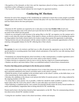• Recognition of the demands on their time and the importance placed on being a member of the SIC will contribute to their willingness to participate.

• The local SIC's bylaws should indicate the term lengths for appointed members.

### **Conducting SIC Elections**

Elections for each of the categories of SIC membership are conducted to ensure that as many people as possible can participate in the election. When and how elections take place will vary from school to school based on what each has found achieves the most participation.

#### **When?**

• Elections for SIC members are required by law to take place no later than **October 15th** of each year.

• Fall elections take place early in the school year to provide time for the SIC to organize and begin its work before too much of the school year has passed.

• Schools are encouraged to hold elections in the spring (May) so the SIC can organize over the summer and is ready to work when the school year begins. If this option is chosen, an effective process for including the parents of rising students from feeder schools needs to be in place to give those parents the opportunity to participate.

• Spring elections also provide principals with the summer months to make community appointments to the SIC, ensuring a demographic balance for the SIC reflecting that of their schools.

#### **How?**

**For parents**, be sure to be inclusive and find ways to offer all parents the opportunity to run for the SIC. Pay special attention to recruiting parents from feeder schools and parents of four and five year olds entering school for the first time.

• Nominations are solicited through the school newsletter or other communication, at student registration activities prior to the start of school, at end-of-year events, and/or on the school's website.

• Conduct elections in conjunction with an event or activity that has a high level of parent participation.

• Students can deliver and return ballots if that is an established method of school-home communication.

#### **Practices that help parents participate in the election process include:**

• Each candidate for election writes a brief statement of two or three lines about why he/she wishes to serve, with these statements published in the school's newsletter and/or on the school's website.

• Publish the picture of each candidate in the newsletter and/or on the school's website, on the ballot sheet, or on a flyer announcing the election date, time and place.

• Introduce the candidates at the chosen event and provide ballots for parents present, with voting conducted by the outgoing members of the SIC.

• To ensure that as many parents vote as possible, a ballot box should be made available to parents in the days before and/or after the event in the school's office or some other place convenient for parents.

• When balloting is completed and the votes counted, the principal should contact the newly-elected members to notify and immediately congratulate them on being selected for SIC membership.

Parents need to know who has been elected as their representative on the SIC. Ways for communicating information about newly-elected SIC members include:

• Listing the new members' names in the school newsletter, website and marquee.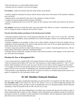- Place their pictures on a school lobby bulletin board.
- Announce the new members in the local newspaper.

**For teachers**, conduct the election when the whole faculty can be present.

• Teachers should be nominated in advance and the faculty made aware of the names of the teacher(s) willing to serve on the SIC.

- Sequence these events during the days prior to the opening or closing of school.
- Conduct the election during a faculty meeting with ballots.

• Teachers completing their term on the SIC supervise the counting of the ballots and announce the faculty's selection.

**For students**, elections are held when other class and student body officers are chosen. Nominations by grade level or at large are made according to the local SIC's bylaws.

#### **Practices that help students participate in the election process include:**

• Nominated students should write a brief statement indicating why they wish to serve on the SIC, with these statements and the candidates' pictures published in the school newspaper, website, on an information flyer, and/ or on the ballot.

• Introduce candidates at an assembly or other event so those students voting get to know the students who are standing for election (especially if the school is large and each class votes on its own grade representative or the whole school votes for several SIC members).

• Conduct voting when elections for other student offices occur, or conduct voting through homerooms, with outgoing students and teachers on the SIC counting the ballots.

• Announce the new student SIC members at school, in the school newsletter, on the marquee, on the school website, and in the local newspaper.

#### **Elections for New or Reorganized SICs**

• A new school and newly organized SIC will conduct elections for the total number of members on the SIC.

• State law indicates that members will "draw lots" (drawing straws or slips of paper numbered "1" and "2") to determine which member(s) will serve only one year in the first year in order to get the staggered system started.

• For example, if an SIC has four parents elected in its first year, two parents will serve a one-year term and two parents will serve two-year terms. In subsequent years, all elected members will serve two-year terms.

• This procedure is also appropriate when the SIC is found to be inactive or nonfunctioning and the need to reorganize is recognized by a new principal or district staff.

### **SC-SIC Member Network Database**

State law (Act 135) requires membership information on each local SIC to be reported to SC-SIC office no later than **November 15th** of each school year. The *SC-SIC Member Network*, an online membership database and information reporting system, provides a variety of membership services to the general public and the education community. It may be accessed via the SC-SIC web site at *sic.sc.gov*.

SIC District Contacts and school administrators can obtain user accounts and log onto the system to enter or obtain membership data for their own SICs. Member contact information and compliance reports for School Improvement Councils are available to school and district account holders. Security regulations require that district and school user accounts be reactivated each year.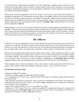A read-only function enables the general public to view SIC membership, compliance reports and *Reports to the Parents* for individual public schools anywhere in South Carolina. No password is necessary to access read-only information. Membership information is not downloadable but PDF files of schools' *Reports to the Parents* will be available for free public download.

*Reports to the Parents* are uploaded to the *SC-SIC Member Network* by the same school staff member(s) responsible for reporting the SIC membership to the state office via the *Member Network*. Only school and district personnel are authorized to obtain accounts for the *Member Network*; SIC members who are not school or district employees may not hold *Member Network* accounts. Using the *Member Network*'s read-only function, SIC chairs should confirm that the SIC membership has been reported by **November 15th** and that the *Report to the Parents*  has been uploaded by **June 1st**.

Membership data is vital to SC-SIC in order to distribute newsletters and other important information and correspondence. The names and contact information of those serving on SICs are public information and the database may be shared with other agencies and organizations that have information to share with SIC members. This data, along with individual SIC membership compliance, will also be made available to school district administrators, local school boards and other elected officials as appropriate.

### **SIC Officers**

Leadership is an important ingredient for all successful organizations and the School Improvement Council is no exception. At a minimum, SIC officers include a Chair and a Recorder/Secretary. Many effective SICs also have elected a Vice Chair, and some have Co-Chairs. However, SICs should not have the elected office of Treasurer as they are public bodies without non-profit status, and therefore should not hold or maintain funds of any kind.

Both the elected and appointed members elect SIC officers. Some of the ex-officio members are officers in other organizations associated with the school (such as the PTA, PTO or PTSO) and should not be considered eligible as an officer of the SIC. The local SIC's bylaws will state how the election of officers occurs and who is eligible to vote for the SIC officers. The election of officers should be concluded prior to the **November 15th** membership reporting deadline so that this information may be entered into the *SC-SIC Member Network* database.

Other leadership roles are taken by members to chair a subcommittee or study group that the SIC Chair has appointed. Other members will provide leadership coordinating a project, event, or activity for the SIC.

#### **Overall Duties of the SIC Chair**

- Direct the monthly SIC meetings.
- Finalize the monthly agenda in collaboration with the principal.

• Act as spokesperson for the SIC when working with the faculty, parent or community groups, district staff, and local school board.

• Sign documents assuring SIC participation, such as the school's annual *Report to the Parents*, the narrative accompanying the annual state *School Report Card*, and the budget submitted to the SC Department of Education for any incentive award expenditures.

• Appoint SIC members and others to serve on committees as needed.

• Monitor the *SC-SIC Member Network* to confirm that updated SIC membership information is posted by the school administration by **November 15th** of each school year and that the SIC's annual *Report to the Parents* is uploaded to the Member Network by **June 1st** of each year.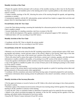#### **Monthly Activities of the Chair**

• Prepare the agenda with the principal well in advance of the monthly meeting to allow time for the Recorder/ Secretary to send it to all members prior to the meeting and to have it posted publicly at the school and on the school's website.

• Conduct monthly meetings of the SIC, directing the action of the meeting through the agenda, and appointing committees as needed.

• Communicate regularly with the SIC subcommittee, project and task force leaders to support their activities and prepare them for reporting progress at the meetings.

#### **Overall Duties of the SIC Vice Chair**

• Assist the Chair during meetings, assuming the leadership for a discussion period or for the entire meeting if the Chair is unable to attend.

• Assume leadership of a standing committee, task force or project of the SIC.

• Assist with the development of the agenda, committee activity and general support of SIC initiatives.

• Additional duties will vary according to local SIC bylaws.

#### **Monthly Activities of the Vice Chair**

- Coordinate with the SIC Chair to identify the actions needed.
- Additional activities will vary according to local SIC bylaws.

#### **Overall Duties of the SIC Secretary/Recorder**

• Maintain a set of records at the school for the SIC including current bylaws, current and past copies of SIC meeting agendas and minutes, current and past copies of the school's *Report to the Parents*, latest copy of the state *School Report Card*, and a copy of the current year's portion of the school's Five-Year Plan.

• Work with school staff to ensure that copies of the bylaws, current year's minutes, agendas, and other pertinent information is readily available to the public, or by posting it to an SIC section of the school's website.

• Assure the agenda is distributed to all SIC members at least five business days prior to the next meeting, and that a copy of the agenda is available for public view at least 24 hours prior to the meeting by posting it at the school or on the school's website.

• Record attendance at each meeting.

• Make a record of the actions taken at each meeting (using the agenda as a guide for reporting actions taken and giving summaries of discussion points where appropriate).

• Coordinate with the committees and school staff about having copies of materials prepared for each meeting.

• Summarize information about meeting actions for publication in the school's newsletter, website or local news media.

#### **Monthly Activities of the Secretary/Recorder**

• File the approved minutes or record of action in an SIC folder at the school and arrange to have them posted to the school's website.

• Distribute copies of the minutes/record of action of the previous meeting along with the agenda of the upcoming meeting to all SIC members in advance of the meeting.

• Contact the SIC Chair or committee leaders to determine if materials need to be copied for the next meeting.

• Submit to the school newsletter/newspaper the summary of the last SIC meeting and the agenda of the next meeting, and submit similar information to local news media.

• Keep the SIC District Contact informed of local SIC actions.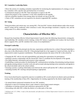#### **SIC Committee Leadership Duties**

• Direct the actions of a standing committee responsible for monitoring the implementation of a strategy or an ad hoc committee with a specific task and limited time of existence.

- Communicate progress to the SIC Chair and prepare to report to the SIC.
- Report the progress of the committee's work when scheduled on the agenda.
- Recruit committee members from among others not already serving on the SIC.
- Chairs of SIC committees are not required to be elected or appointed SIC members.

#### **SIC Voting**

Voting procedures and criteria may vary among SICs. The local SIC's bylaws should indicate under what circumstances voting will be conducted, when consensus is used, what percentage constitutes a majority vote, and the voting status of ex-officio members.

### **Characteristics of Effective SICs**

Research has found that effective School Improvement Councils share the following characteristics: strong principal leadership; SIC members receive training; written SIC bylaws or guidelines are in place; the local school district supports SICs; and SIC members feel a sense of accomplishment. \*

#### **Principal Leadership**

It is widely agreed that the principal sets the tone, expectations and direction for a school. Principal leadership is also a key to the effectiveness of the SIC. If the principal lends his or her support to Council activities, the SIC is empowered to make its greatest contributions. The principal promotes the status of the SIC in the school by:

- Charging the SIC with its role and responsibilities and stating the expectations for participation.
- Initiating a positive relationship with the elected SIC Chair to coordinate the development of the agenda.
- Providing materials, information and resources when requested.

• Establishing a routine procedure for distributing SIC communications including: disseminating meeting minutes and agenda; posting minutes in teacher work area and on email; placing meeting action summaries and agenda in the school newsletter and on the school website.

- Ensuring a positive working relationship exists between the school staff and the SIC's officers and members.
- Attending monthly SIC meetings and participating as appropriate.

#### **Training**

Every local school board is required by state law to establish an SIC at each school in its district and to provide for training of the membership of these SICs. Opportunities for training supported by the district might include:

- An annual district-sponsored orientation for new SIC members.
- Regional or state-level trainings about a topic related to school improvement strategies.
- Attendance at training sessions and conferences sponsored by SC-SIC.
- Networking with other SICs within the district or in other parts of the state.

*\* Hollingsworth, S.T. (1986). A study of the functionality and effectiveness of School Improvement Councils in selected school in South Carolina.*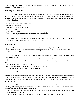• Access to resources provided by SC-SIC including training materials, newsletters, toll-free hotline (1-800-868- 2232), and website (*sic.sc.gov*).

#### **Written Bylaws or Guidelines**

Effective SICs also have bylaws to provide the structure which allows the organization to operate effectively to achieve its goals. Copies of the bylaws should be kept in an SIC file at the school, posted to the school's website, and each SIC member and the SIC District Contact should have a copy of the SIC's bylaws. Points to include in the bylaws should be:

- Purpose, responsibilities and duties of the SIC.
- Membership composition.
- Election and appointment procedures.
- Voting requirements.
- Officers and their duties.
- Council structure, including committees, tasks, events, and activities.
- Amendment procedures.

Sample bylaws addressing these points and covering all statutory obligations regarding SICs are available for local use and adaptation through the SC-SIC website, *sic.sc.gov*.

#### **District Support**

Support for SICs from the local school district comes in many ways depending on the need of the individual Council. The district is the source of information, funding and other resources to support the efforts of the SIC. Examples of district support are:

• An SIC District Contact appointed by the local district superintendent coordinates training and acts as a resource to the district's SICs.

• Payment of registration fees for SIC members to attend conferences and training events.

• A district bus or van is supplied to transport SIC members to attend training events, school visits, and/or conferences.

- Mileage reimbursement for SIC-related travel.
- District staff is available to attend SIC meetings and provide resources.
- Public recognition of SIC members serving each school.

#### **Sense of Accomplishment**

Members of organizations need to feel they are valued, that their work and family priorities are honored, and that the goals of the organization match their own values. In this way, they become committed and active participants in the organization. SIC members need to be involved in the work of the SIC in specific ways to have a sense of accomplishment.

• Every member of the SIC has a job responsibility, such as a committee assignment.

• Meetings follow the agenda, start on time and end on time. All members' ideas and positions are encouraged and respected, and communication is open and regular.

• The meeting schedule is most convenient to parents and community members, child care is provided and meeting materials are readily available.

• Response is timely to requests for information from SIC members about policies and budgets.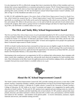It is also important for SICs to effectively manage their time to maximize the efforts of their members and to undertake their various responsibilities in a consistent and productive manner. The SC School Improvement Council recommends that Councils meet no fewer than eight times each school year. To assist SICs in establishing and planning their yearly activities, SC-SIC has developed an annual School Improvement Council Calendar, available on Page 15 of this *Handbook* and online at *sic.sc.gov*.

In 1992, SC-SIC published the report *A Descriptive Study of Eight School Improvement Councils in South Carolina*, which formed the research base for a "School Improvement Council Self-Assessment Profile." Designed specifically as a teaching tool, this Profile can be used at the beginning of the school year to orient new SIC members and evaluate SIC efforts in the previous year, or to be used at both the start and end of each school year to examine SIC progress. Best used as a group exercise to stimulate dialogue and ideas for improving the functioning of SICs, the full Profile is available online at *sic.sc.gov*.

### **The Dick and Tunky Riley School Improvement Award**

The *Dick and Tunky Riley School Improvement Award* is presented annually by SC-SIC to a local Council demonstrating exemplary leadership and actions resulting in improved public education in their community. The award is named for former U.S. Secretary of Education and South Carolina Governor Dick Riley and his late wife, Tunky, who were presented the inaugural award in 2002 "in honor and recognition of two people who sparked the flame of education improvement in South Carolina."

All SICs in South Carolina that have been convened for at least one year are eligible to apply for the *Riley Award*. Initial applications for the award are submitted in the fall of each year, with the naming of the award recipient in the spring. Throughout the process, applicants have the opportunity to be selected as an Honor Roll SIC, an award finalist with Honorable Mention, or the annual *Riley Award* winner.

Participating in the award process is an opportunity for SICs to celebrate their achievements, share strategies with others, ensure their compliance with state law, and provide much deserved recognition for hard-working volunteers. More information on the *Riley Award*, the application process and timeline, judging criteria, and application examples from previous award winners is available online at *sic.sc.gov*.



### **About the SC School Improvement Council**

The South Carolina School Improvement Council (SC-SIC) provides training and services to more than 15,000 parents, teachers, community members, students, and administrators serving on local School Improvement Councils in each of South Carolina's 1,100-plus K-12 public schools. Located at the University of South Carolina's College of Education, SC-SIC holds as its vision "to promote and support civic engagement for quality public education in South Carolina." To this end, SC-SIC sponsors local, regional and state training events on a variety of topics pertinent to SIC members and their leadership roles in local schools. SC-SIC produces and provides many printed, electronic and online materials to inform and assist SICs in their work, and maintains a toll-free hotline and website for SIC members – and members of the general public – to receive information, assistance, request materials and services, and schedule training activities.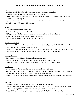### **Annual School Improvement Council Calendar**

#### *August / September*

- With the principal, plan SIC election procedures (unless Spring elections are held)
- Arrange training for new members and distribute SIC Handbook

• Elect SIC officers and make committee assignments based on the school's Five-Year School Improvement Plan and the SIC's annual goals

• Begin collecting SIC membership and contact information for school staff to enter into state database (SC-SIC Member Network) by November 15th deadline

#### *October*

- SIC elections completed by October 15th
- Committees identify areas of Five-Year Plan to be monitored and organize for work on goals
- SIC begins review of school data such as surveys, test scores, demographics, and budget
- Schedule and attend SIC training (if not already completed)
- Apply for annual SC-SIC Riley School Improvement Award

#### *November / December*

• Current year's SIC membership and contact information submitted by school staff to SC-SIC Member Network by November 15th statutory reporting deadline

- Review data from annual School Report Card (as soon as it is available) and how it relates to Five-Year Plan
- Committees continue to monitor implementation of Plan strategies and SIC annual goals

#### *January / February*

- Share analysis of School Report Card data with parents and faculty
- Committees continue to monitor and report implementation progress of Plan strategies
- Identify SIC members to draft the SIC's annual Report to the Parents for current school year

#### *March / April*

- Review draft of the Report to the Parents; revise and finalize for publication
- Distribute Report to the Parents by April 30th to parents, community members and local SIC District Contact
- Attend annual state SIC conference and/or plan spring SIC training event
- Identify SIC members to work with the principal in drafting the narrative for the upcoming state School Report Card

#### *May / June*

- Summarize progress made on Five-Year Plan strategies and SIC annual goals
- Submit electronic copy of SIC's Report to the Parents to SC-SIC via SC-SIC Member Network by June 1st
- Finalize School Report Card narrative with the principal for submission mid-June
- Conduct SIC elections or begin planning elections process for Fall of the upcoming school year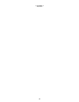### *\* NOTES \**